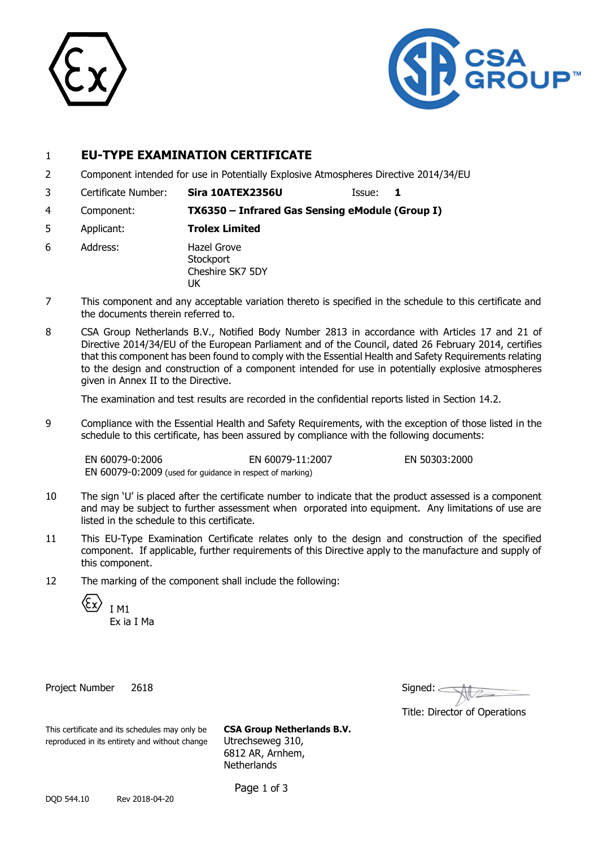



# 1 **EU-TYPE EXAMINATION CERTIFICATE**

- 2 Component intended for use in Potentially Explosive Atmospheres Directive 2014/34/EU
- 3 Certificate Number: **Sira 10ATEX2356U** Issue: **1**

4 Component: **TX6350 – Infrared Gas Sensing eModule (Group I)**

- 5 Applicant: **Trolex Limited**
- 6 Address: Hazel Grove **Stockport** Cheshire SK7 5DY UK
- 7 This component and any acceptable variation thereto is specified in the schedule to this certificate and the documents therein referred to.
- 8 CSA Group Netherlands B.V., Notified Body Number 2813 in accordance with Articles 17 and 21 of Directive 2014/34/EU of the European Parliament and of the Council, dated 26 February 2014, certifies that this component has been found to comply with the Essential Health and Safety Requirements relating to the design and construction of a component intended for use in potentially explosive atmospheres given in Annex II to the Directive.

The examination and test results are recorded in the confidential reports listed in Section 14.2.

9 Compliance with the Essential Health and Safety Requirements, with the exception of those listed in the schedule to this certificate, has been assured by compliance with the following documents:

EN 60079-0:2006 EN 60079-11:2007 EN 50303:2000 EN 60079-0:2009 (used for guidance in respect of marking)

- 10 The sign 'U' is placed after the certificate number to indicate that the product assessed is a component and may be subject to further assessment when orporated into equipment. Any limitations of use are listed in the schedule to this certificate.
- 11 This EU-Type Examination Certificate relates only to the design and construction of the specified component. If applicable, further requirements of this Directive apply to the manufacture and supply of this component.
- 12 The marking of the component shall include the following:

I M1

Ex ia I Ma

Project Number 2618

| Signed:                       |
|-------------------------------|
| Title: Director of Operations |

This certificate and its schedules may only be **CSA Group Netherlands B.V.** reproduced in its entirety and without change Utrechseweg 310,

6812 AR, Arnhem, **Netherlands** 

Page 1 of 3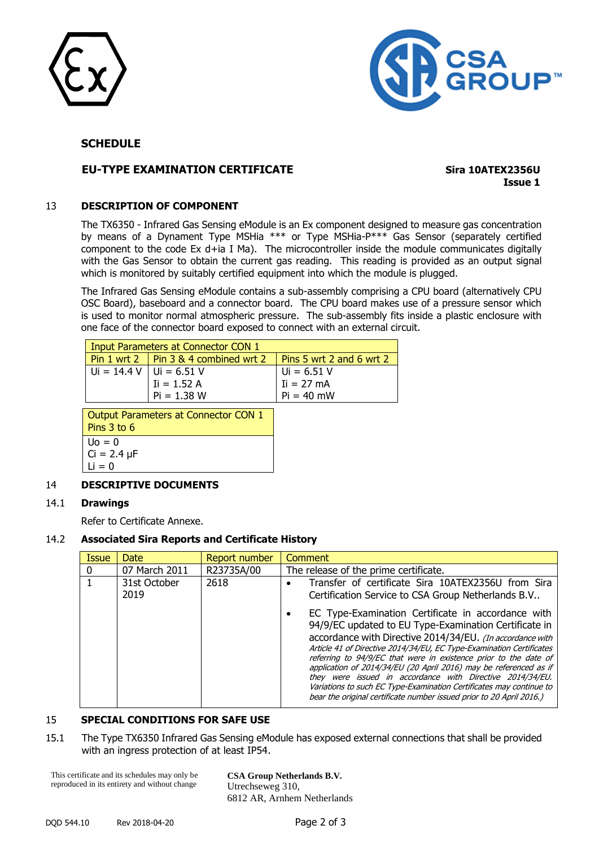



# **SCHEDULE**

# **EU-TYPE EXAMINATION CERTIFICATE Sira 10ATEX2356U**

**Issue 1**

#### 13 **DESCRIPTION OF COMPONENT**

The TX6350 - Infrared Gas Sensing eModule is an Ex component designed to measure gas concentration by means of a Dynament Type MSHia \*\*\* or Type MSHia-P\*\*\* Gas Sensor (separately certified component to the code Ex d+ia I Ma). The microcontroller inside the module communicates digitally with the Gas Sensor to obtain the current gas reading. This reading is provided as an output signal which is monitored by suitably certified equipment into which the module is plugged.

The Infrared Gas Sensing eModule contains a sub-assembly comprising a CPU board (alternatively CPU OSC Board), baseboard and a connector board. The CPU board makes use of a pressure sensor which is used to monitor normal atmospheric pressure. The sub-assembly fits inside a plastic enclosure with one face of the connector board exposed to connect with an external circuit.

|                             | Input Parameters at Connector CON 1       |                             |
|-----------------------------|-------------------------------------------|-----------------------------|
|                             | Pin 1 wrt 2   Pin 3 $\&$ 4 combined wrt 2 | Pins 5 wrt 2 and 6 wrt 2    |
| $Ui = 14.4 V   Ui = 6.51 V$ |                                           |                             |
|                             | $I = 1.52 A$                              | $Ui = 6.51 V$<br>Ii = 27 mA |
|                             | $Pi = 1.38 W$                             | $Pi = 40$ mW                |

| Output Parameters at Connector CON 1 |
|--------------------------------------|
| Pins $3$ to $6$                      |
| $\mathsf{U} \circ \mathsf{A} = 0$    |
| $Ci = 2.4 \mu F$                     |
| $Li = 0$                             |

#### 14 **DESCRIPTIVE DOCUMENTS**

#### 14.1 **Drawings**

Refer to Certificate Annexe.

#### 14.2 **Associated Sira Reports and Certificate History**

| <b>Date</b>          | Report number | Comment                                                                                                                                                                                                                                                                                                                                                                                                                                                                                                                                                                                                                                                                                                           |
|----------------------|---------------|-------------------------------------------------------------------------------------------------------------------------------------------------------------------------------------------------------------------------------------------------------------------------------------------------------------------------------------------------------------------------------------------------------------------------------------------------------------------------------------------------------------------------------------------------------------------------------------------------------------------------------------------------------------------------------------------------------------------|
| 07 March 2011        | R23735A/00    | The release of the prime certificate.                                                                                                                                                                                                                                                                                                                                                                                                                                                                                                                                                                                                                                                                             |
| 31st October<br>2019 | 2618          | Transfer of certificate Sira 10ATEX2356U from Sira<br>Certification Service to CSA Group Netherlands B.V<br>EC Type-Examination Certificate in accordance with<br>94/9/EC updated to EU Type-Examination Certificate in<br>accordance with Directive 2014/34/EU. (In accordance with<br>Article 41 of Directive 2014/34/EU, EC Type-Examination Certificates<br>referring to 94/9/EC that were in existence prior to the date of<br>application of 2014/34/EU (20 April 2016) may be referenced as if<br>they were issued in accordance with Directive 2014/34/EU.<br>Variations to such EC Type-Examination Certificates may continue to<br>bear the original certificate number issued prior to 20 April 2016.) |
|                      |               |                                                                                                                                                                                                                                                                                                                                                                                                                                                                                                                                                                                                                                                                                                                   |

# 15 **SPECIAL CONDITIONS FOR SAFE USE**

15.1 The Type TX6350 Infrared Gas Sensing eModule has exposed external connections that shall be provided with an ingress protection of at least IP54.

This certificate and its schedules may only be reproduced in its entirety and without change

**CSA Group Netherlands B.V.** Utrechseweg 310, 6812 AR, Arnhem Netherlands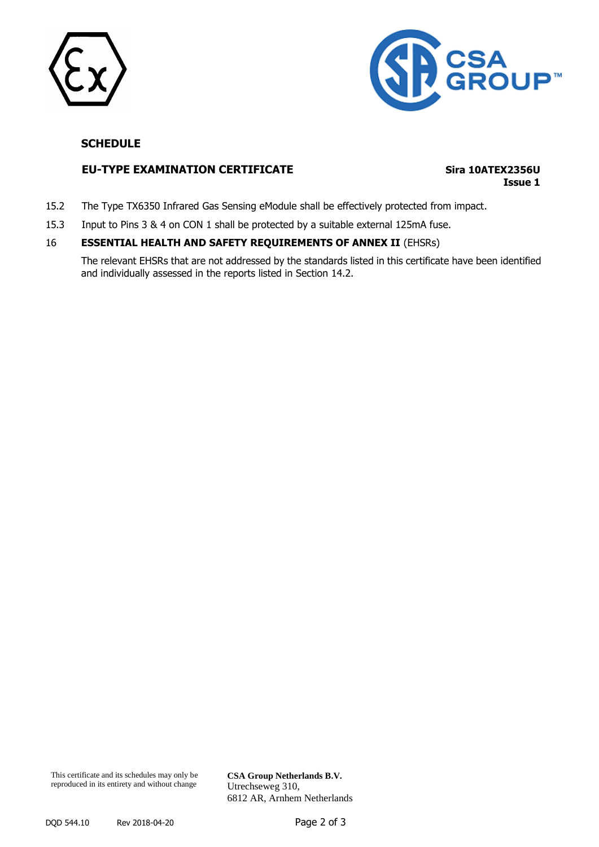



# **SCHEDULE**

### **EU-TYPE EXAMINATION CERTIFICATE Sira 10ATEX2356U**

# **Issue 1**

- 15.2 The Type TX6350 Infrared Gas Sensing eModule shall be effectively protected from impact.
- 15.3 Input to Pins 3 & 4 on CON 1 shall be protected by a suitable external 125mA fuse.

#### 16 **ESSENTIAL HEALTH AND SAFETY REQUIREMENTS OF ANNEX II** (EHSRs)

The relevant EHSRs that are not addressed by the standards listed in this certificate have been identified and individually assessed in the reports listed in Section 14.2.

**CSA Group Netherlands B.V.** Utrechseweg 310, 6812 AR, Arnhem Netherlands